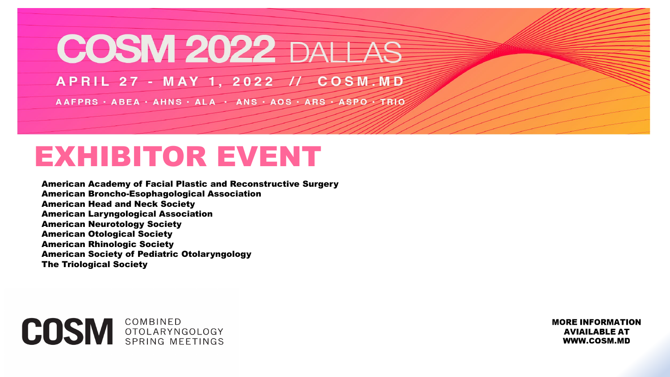# **COSM 2022 DALLAS**

APRIL 27 - MAY 1, 2022 // COSM.MD

AAFPRS · ABEA · AHNS · ALA · ANS · AOS · ARS · ASPO · TRIO

## EXHIBITOR EVENT

American Academy of Facial Plastic and Reconstructive Surgery American Broncho-Esophagological Association American Head and Neck Society American Laryngological Association American Neurotology Society American Otological Society American Rhinologic Society American Society of Pediatric Otolaryngology The Triological Society

**COSM COMBINED COMBINED CONBINED CONDITION** 

**MORE INFORMATION AVIAILABLE AT** WWW.COSM.MD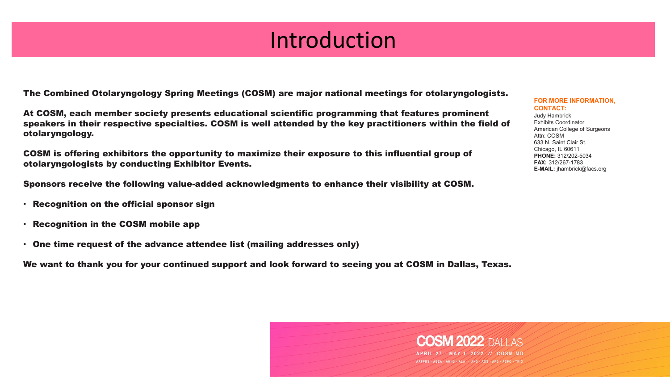## Introduction

The Combined Otolaryngology Spring Meetings (COSM) are major national meetings for otolaryngologists.

At COSM, each member society presents educational scientific programming that features prominent speakers in their respective specialties. COSM is well attended by the key practitioners within the field of otolaryngology.

COSM is offering exhibitors the opportunity to maximize their exposure to this influential group of otolaryngologists by conducting Exhibitor Events.

Sponsors receive the following value-added acknowledgments to enhance their visibility at COSM.

- Recognition on the official sponsor sign
- Recognition in the COSM mobile app
- One time request of the advance attendee list (mailing addresses only)

We want to thank you for your continued support and look forward to seeing you at COSM in Dallas, Texas.

**FOR MORE INFORMATION, CONTACT:** Judy Hambrick

Exhibits Coordinator American College of Surgeons Attn: COSM 633 N. Saint Clair St. Chicago, IL 60611 **PHONE:** 312/202-5034 **FAX:** 312/267-1783 **E-MAIL:** jhambrick@facs.org

M 2022 DALLAS

APRIL 27 - MAY 1, 2022 // COSM.MD AAFPRS · ABEA · AHNS · ALA · ANS · AOS · ARS · ASPO · TRIO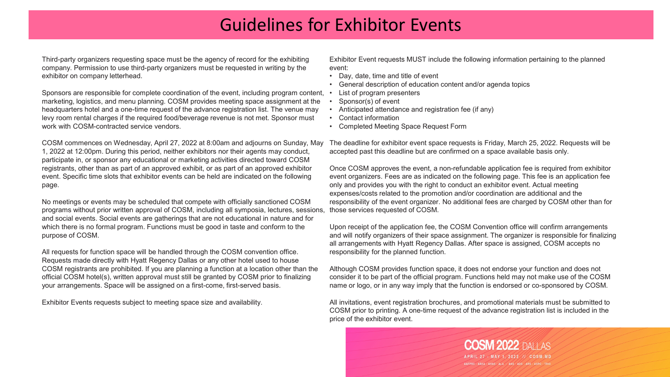#### Guidelines for Exhibitor Events

Third-party organizers requesting space must be the agency of record for the exhibiting company. Permission to use third-party organizers must be requested in writing by the exhibitor on company letterhead.

Sponsors are responsible for complete coordination of the event, including program content, marketing, logistics, and menu planning. COSM provides meeting space assignment at the headquarters hotel and a one-time request of the advance registration list. The venue may levy room rental charges if the required food/beverage revenue is not met. Sponsor must work with COSM-contracted service vendors.

COSM commences on Wednesday, April 27, 2022 at 8:00am and adjourns on Sunday, May 1, 2022 at 12:00pm. During this period, neither exhibitors nor their agents may conduct, participate in, or sponsor any educational or marketing activities directed toward COSM registrants, other than as part of an approved exhibit, or as part of an approved exhibitor event. Specific time slots that exhibitor events can be held are indicated on the following page.

No meetings or events may be scheduled that compete with officially sanctioned COSM programs without prior written approval of COSM, including all symposia, lectures, sessions, and social events. Social events are gatherings that are not educational in nature and for which there is no formal program. Functions must be good in taste and conform to the purpose of COSM.

All requests for function space will be handled through the COSM convention office. Requests made directly with Hyatt Regency Dallas or any other hotel used to house COSM registrants are prohibited. If you are planning a function at a location other than the official COSM hotel(s), written approval must still be granted by COSM prior to finalizing your arrangements. Space will be assigned on a first-come, first-served basis.

Exhibitor Events requests subject to meeting space size and availability.

Exhibitor Event requests MUST include the following information pertaining to the planned event:

- Day, date, time and title of event
- General description of education content and/or agenda topics
- List of program presenters
- Sponsor(s) of event
- Anticipated attendance and registration fee (if any)
- Contact information
- Completed Meeting Space Request Form

The deadline for exhibitor event space requests is Friday, March 25, 2022. Requests will be accepted past this deadline but are confirmed on a space available basis only.

Once COSM approves the event, a non-refundable application fee is required from exhibitor event organizers. Fees are as indicated on the following page. This fee is an application fee only and provides you with the right to conduct an exhibitor event. Actual meeting expenses/costs related to the promotion and/or coordination are additional and the responsibility of the event organizer. No additional fees are charged by COSM other than for those services requested of COSM.

Upon receipt of the application fee, the COSM Convention office will confirm arrangements and will notify organizers of their space assignment. The organizer is responsible for finalizing all arrangements with Hyatt Regency Dallas. After space is assigned, COSM accepts no responsibility for the planned function.

Although COSM provides function space, it does not endorse your function and does not consider it to be part of the official program. Functions held may not make use of the COSM name or logo, or in any way imply that the function is endorsed or co-sponsored by COSM.

All invitations, event registration brochures, and promotional materials must be submitted to COSM prior to printing. A one-time request of the advance registration list is included in the price of the exhibitor event.

> **COSM 2022 DAIT AS** APRIL 27 - MAY 1 2022 // AAFPRS · ABEA · AHNS · ALA · ANS · AOS · ARS · ASPO · TR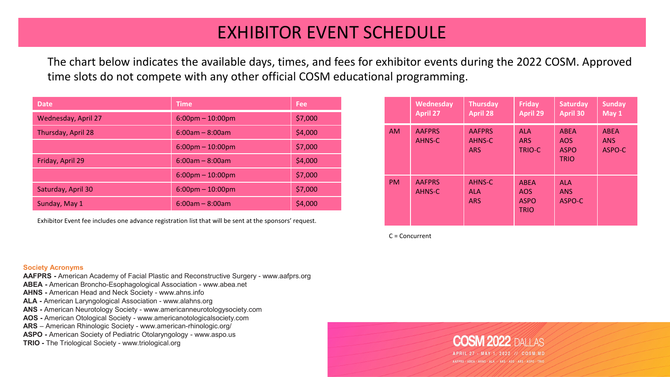## EXHIBITOR EVENT SCHEDULE

The chart below indicates the available days, times, and fees for exhibitor events during the 2022 COSM. Approved time slots do not compete with any other official COSM educational programming.

| <b>Date</b>         | <b>Time</b>                        | Fee     |
|---------------------|------------------------------------|---------|
| Wednesday, April 27 | $6:00 \text{pm} - 10:00 \text{pm}$ | \$7,000 |
| Thursday, April 28  | $6:00am - 8:00am$                  | \$4,000 |
|                     | $6:00 \text{pm} - 10:00 \text{pm}$ | \$7,000 |
| Friday, April 29    | $6:00am - 8:00am$                  | \$4,000 |
|                     | $6:00 \text{pm} - 10:00 \text{pm}$ | \$7,000 |
| Saturday, April 30  | $6:00 \text{pm} - 10:00 \text{pm}$ | \$7,000 |
| Sunday, May 1       | $6:00am - 8:00am$                  | \$4,000 |

Exhibitor Event fee includes one advance registration list that will be sent at the sponsors' request.

#### **Society Acronyms**

- **AAFPRS -** American Academy of Facial Plastic and Reconstructive Surgery www.aafprs.org **ABEA -** American Broncho-Esophagological Association - www.abea.net
- **AHNS -** American Head and Neck Society www.ahns.info
- **ALA -** American Laryngological Association www.alahns.org
- **ANS -** American Neurotology Society www.americanneurotologysociety.com
- **AOS -** American Otological Society www.americanotologicalsociety.com
- **ARS** American Rhinologic Society www.american-rhinologic.org/
- **ASPO -** American Society of Pediatric Otolaryngology www.aspo.us
- **TRIO -** The Triological Society www.triological.org

|           | Wednesday<br><b>April 27</b> | <b>Thursday</b><br><b>April 28</b>    | <b>Friday</b><br><b>April 29</b>                        | <b>Saturday</b><br><b>April 30</b>                      | <b>Sunday</b><br>May 1              |
|-----------|------------------------------|---------------------------------------|---------------------------------------------------------|---------------------------------------------------------|-------------------------------------|
| <b>AM</b> | <b>AAFPRS</b><br>AHNS-C      | <b>AAFPRS</b><br>AHNS-C<br><b>ARS</b> | <b>ALA</b><br><b>ARS</b><br><b>TRIO-C</b>               | <b>ABFA</b><br><b>AOS</b><br><b>ASPO</b><br><b>TRIO</b> | <b>ABEA</b><br><b>ANS</b><br>ASPO-C |
| <b>PM</b> | <b>AAFPRS</b><br>AHNS-C      | AHNS-C<br><b>ALA</b><br><b>ARS</b>    | <b>ABEA</b><br><b>AOS</b><br><b>ASPO</b><br><b>TRIO</b> | <b>ALA</b><br><b>ANS</b><br>ASPO-C                      |                                     |

C = Concurrent